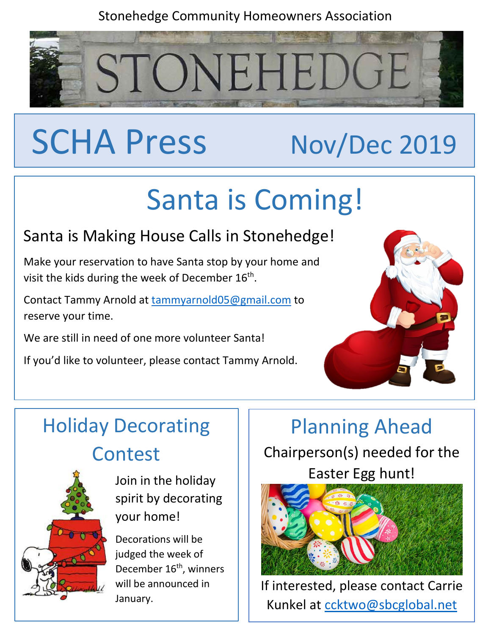### Stonehedge Community Homeowners Association

STONEHEDGE

# SCHA Press Nov/Dec 2019

# Santa is Coming!

## Santa is Making House Calls in Stonehedge!

Make your reservation to have Santa stop by your home and visit the kids during the week of December 16<sup>th</sup>.

Contact Tammy Arnold at [tammyarnold05@gmail.com](mailto:tammyarnold05@gmail.com) to reserve your time.

We are still in need of one more volunteer Santa!

If you'd like to volunteer, please contact Tammy Arnold.



## Holiday Decorating Contest



Join in the holiday spirit by decorating your home!

Decorations will be judged the week of December 16<sup>th</sup>, winners will be announced in January.

## Planning Ahead Chairperson(s) needed for the Easter Egg hunt!



If interested, please contact Carrie Kunkel at [ccktwo@sbcglobal.net](mailto:ccktwo@sbcglobal.net)